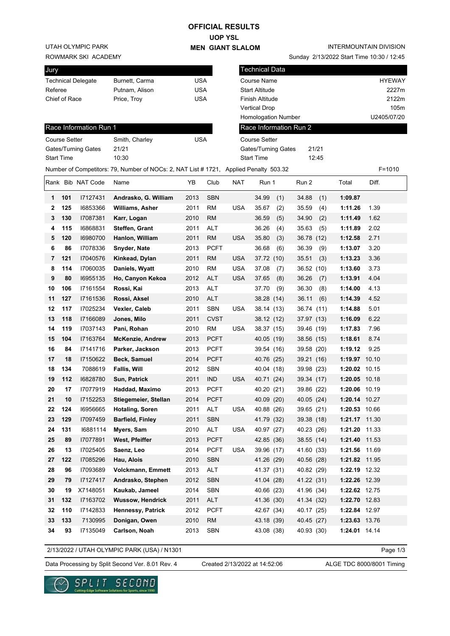## **OFFICIAL RESULTS**

**UOP YSL MEN GIANT SLALOM**

Sunday 2/13/2022 Start Time 10:30 / 12:45

INTERMOUNTAIN DIVISION

UTAH OLYMPIC PARK

ROWMARK SKI ACADEMY

| Jury                      |                      |                        |                                                                                       |            |                            | <b>Technical Data</b>               |                      |     |                        |      |               |             |  |
|---------------------------|----------------------|------------------------|---------------------------------------------------------------------------------------|------------|----------------------------|-------------------------------------|----------------------|-----|------------------------|------|---------------|-------------|--|
| <b>Technical Delegate</b> |                      |                        | Burnett, Carma                                                                        | <b>USA</b> |                            | <b>Course Name</b>                  |                      |     |                        |      | <b>HYEWAY</b> |             |  |
| Referee                   |                      |                        | Putnam, Alison                                                                        | <b>USA</b> |                            | <b>Start Altitude</b>               |                      |     |                        |      | 2227m         |             |  |
| Chief of Race             |                      |                        | Price, Troy                                                                           | <b>USA</b> |                            | Finish Altitude                     |                      |     |                        |      |               | 2122m       |  |
|                           |                      |                        |                                                                                       |            |                            |                                     | <b>Vertical Drop</b> |     |                        |      | 105m          |             |  |
|                           |                      |                        |                                                                                       |            |                            |                                     | Homologation Number  |     |                        |      |               | U2405/07/20 |  |
|                           |                      | Race Information Run 1 |                                                                                       |            |                            |                                     |                      |     | Race Information Run 2 |      |               |             |  |
|                           | <b>Course Setter</b> |                        | Smith, Charley                                                                        | <b>USA</b> |                            |                                     | <b>Course Setter</b> |     |                        |      |               |             |  |
| Gates/Turning Gates       |                      |                        | 21/21                                                                                 |            |                            | 21/21<br><b>Gates/Turning Gates</b> |                      |     |                        |      |               |             |  |
|                           | <b>Start Time</b>    |                        | 10:30                                                                                 |            | <b>Start Time</b><br>12:45 |                                     |                      |     |                        |      |               |             |  |
|                           |                      |                        | Number of Competitors: 79, Number of NOCs: 2, NAT List # 1721, Applied Penalty 503.32 |            |                            |                                     |                      |     |                        |      |               | $F = 1010$  |  |
|                           |                      | Rank Bib NAT Code      | Name                                                                                  | YΒ         | Club                       | <b>NAT</b>                          | Run 1                |     | Run 2                  |      | Total         | Diff.       |  |
| 1                         | 101                  | 17127431               | Andrasko, G. William                                                                  | 2013       | <b>SBN</b>                 |                                     | 34.99                | (1) | 34.88                  | (1)  | 1:09.87       |             |  |
| 2                         | 125                  | 16853366               | <b>Williams, Asher</b>                                                                | 2011       | <b>RM</b>                  | <b>USA</b>                          | 35.67                | (2) | 35.59                  | (4)  | 1:11.26       | 1.39        |  |
| 3                         | 130                  | 17087381               | Karr, Logan                                                                           | 2010       | <b>RM</b>                  |                                     | 36.59                | (5) | 34.90                  | (2)  | 1:11.49       | 1.62        |  |
| 4                         | 115                  | 16868831               | <b>Steffen, Grant</b>                                                                 | 2011       | <b>ALT</b>                 |                                     | 36.26                | (4) | 35.63                  | (5)  | 1:11.89       | 2.02        |  |
| 5                         | 120                  | 16980700               | Hanlon, William                                                                       | 2011       | <b>RM</b>                  | <b>USA</b>                          | 35.80                | (3) | 36.78                  | (12) | 1:12.58       | 2.71        |  |
| 6                         | 86                   | 17078336               | <b>Snyder, Nate</b>                                                                   | 2013       | <b>PCFT</b>                |                                     | 36.68                | (6) | 36.39                  | (9)  | 1:13.07       | 3.20        |  |
| 7                         | 121                  | 17040576               | Kinkead, Dylan                                                                        | 2011       | <b>RM</b>                  | <b>USA</b>                          | 37.72 (10)           |     | 35.51                  | (3)  | 1:13.23       | 3.36        |  |
| 8                         | 114                  | 17060035               | Daniels, Wyatt                                                                        | 2010       | <b>RM</b>                  | <b>USA</b>                          | 37.08                | (7) | 36.52 (10)             |      | 1:13.60       | 3.73        |  |
| 9                         | 80                   | 16955135               | Ho, Canyon Kekoa                                                                      | 2012       | ALT                        | <b>USA</b>                          | 37.65                | (8) | 36.26                  | (7)  | 1:13.91       | 4.04        |  |
| 10                        | 106                  | 17161554               | Rossi, Kai                                                                            | 2013       | ALT                        |                                     | 37.70                | (9) | 36.30                  | (8)  | 1:14.00       | 4.13        |  |
| 11                        | 127                  | 17161536               | Rossi, Aksel                                                                          | 2010       | <b>ALT</b>                 |                                     | 38.28 (14)           |     | 36.11                  | (6)  | 1:14.39       | 4.52        |  |
| 12                        | 117                  | 17025234               | Vexler, Caleb                                                                         | 2011       | <b>SBN</b>                 | <b>USA</b>                          | 38.14 (13)           |     | 36.74 (11)             |      | 1:14.88       | 5.01        |  |
| 13                        | 118                  | I7166089               | Jones, Milo                                                                           | 2011       | <b>CVST</b>                |                                     | 38.12 (12)           |     | 37.97 (13)             |      | 1:16.09       | 6.22        |  |
| 14                        | 119                  | 17037143               | Pani, Rohan                                                                           | 2010       | RM                         | <b>USA</b>                          | 38.37 (15)           |     | 39.46 (19)             |      | 1:17.83       | 7.96        |  |
| 15                        | 104                  | 17163764               | <b>McKenzie, Andrew</b>                                                               | 2013       | <b>PCFT</b>                |                                     | 40.05 (19)           |     | 38.56 (15)             |      | 1:18.61       | 8.74        |  |
| 16                        | 84                   | 17141716               | Parker, Jackson                                                                       | 2013       | <b>PCFT</b>                |                                     | 39.54 (16)           |     | 39.58 (20)             |      | 1:19.12       | 9.25        |  |
| 17                        | 18                   | 17150622               | Beck, Samuel                                                                          | 2014       | <b>PCFT</b>                |                                     | 40.76 (25)           |     | 39.21 (16)             |      | 1:19.97 10.10 |             |  |
| 18                        | 134                  | 7088619                | <b>Fallis, Will</b>                                                                   | 2012       | <b>SBN</b>                 |                                     | 40.04 (18)           |     | 39.98 (23)             |      | 1:20.02 10.15 |             |  |
| 19                        | 112                  | 16828780               | Sun, Patrick                                                                          | 2011       | <b>IND</b>                 | <b>USA</b>                          | 40.71 (24)           |     | 39.34 (17)             |      | 1:20.05 10.18 |             |  |
| 20                        | 17                   | 17077919               | Haddad, Maximo                                                                        | 2013       | <b>PCFT</b>                |                                     | 40.20 (21)           |     | 39.86 (22)             |      | 1:20.06 10.19 |             |  |
| 21                        | 10                   | 17152253               | Stiegemeier, Stellan                                                                  | 2014       | PCFT                       |                                     | 40.09 (20)           |     | 40.05 (24)             |      | 1:20.14 10.27 |             |  |
| 22                        | 124                  | 16956665               | <b>Hotaling, Soren</b>                                                                | 2011       | ALT                        | <b>USA</b>                          | 40.88 (26)           |     | 39.65 (21)             |      | 1:20.53 10.66 |             |  |
| 23                        | 129                  | 17097459               | <b>Barfield, Finley</b>                                                               | 2011       | <b>SBN</b>                 |                                     | 41.79 (32)           |     | 39.38 (18)             |      | 1:21.17 11.30 |             |  |
| 24                        | 131                  | 16881114               | Myers, Sam                                                                            | 2010       | ALT                        | <b>USA</b>                          | 40.97 (27)           |     | 40.23 (26)             |      | 1:21.20 11.33 |             |  |
| 25                        | 89                   | 17077891               | West, Pfeiffer                                                                        | 2013       | <b>PCFT</b>                |                                     | 42.85 (36)           |     | 38.55 (14)             |      | 1:21.40 11.53 |             |  |
| 26                        | 13                   | 17025405               | Saenz, Leo                                                                            | 2014       | <b>PCFT</b>                | <b>USA</b>                          | 39.96 (17)           |     | 41.60 (33)             |      | 1:21.56 11.69 |             |  |
| 27                        | 122                  | 17085296               | Hau, Alois                                                                            | 2010       | <b>SBN</b>                 |                                     | 41.26 (29)           |     | 40.56 (28)             |      | 1:21.82 11.95 |             |  |
| 28                        | 96                   | 17093689               | Volckmann, Emmett                                                                     | 2013       | ALT                        |                                     | 41.37 (31)           |     | 40.82 (29)             |      | 1:22.19 12.32 |             |  |
| 29                        | 79                   | 17127417               | Andrasko, Stephen                                                                     | 2012       | <b>SBN</b>                 |                                     | 41.04 (28)           |     | 41.22 (31)             |      | 1:22.26 12.39 |             |  |

| 2/13/2022 / UTAH OLYMPIC PARK (USA) / N1301 |  |
|---------------------------------------------|--|
|                                             |  |
|                                             |  |

Data Processing by Split Second Ver. 8.01 Rev. 4 Created 2/13/2022 at 14:52:06 ALGE TDC 8000/8001 Timing

Created 2/13/2022 at 14:52:06

**30 19** X7148051 **Kaukab, Jameel** 2014 SBN 40.66 (23) 41.96 (34) **1:22.62** 12.75 **31 132** I7163702 **Wussow, Hendrick** 2011 ALT 41.36 (30) 41.34 (32) **1:22.70** 12.83 **32 110** I7142833 **Hennessy, Patrick** 2012 PCFT 42.67 (34) 40.17 (25) **1:22.84** 12.97 **33 133** 7130995 **Donigan, Owen** 2010 RM 43.18 (39) 40.45 (27) **1:23.63** 13.76 **34 93** I7135049 **Carlson, Noah** 2013 SBN 43.08 (38) 40.93 (30) **1:24.01** 14.14

Page 1/3

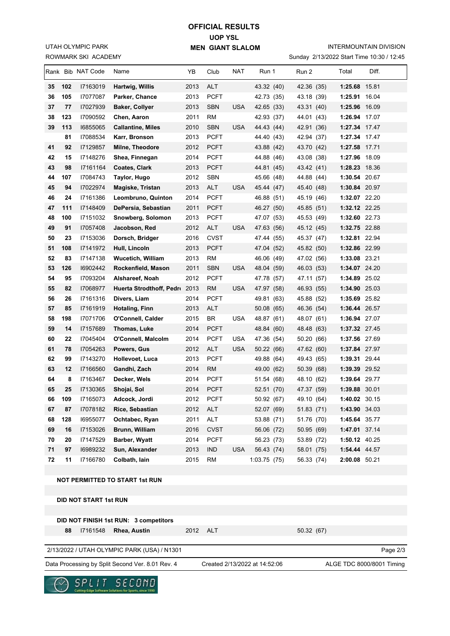ROWMARK SKI ACADEMY UTAH OLYMPIC PARK

## **UOP YSL MEN GIANT SLALOM OFFICIAL RESULTS**

INTERMOUNTAIN DIVISION

Sunday 2/13/2022 Start Time 10:30 / 12:45

| <b>NUMMANN JNI AUADEMI</b><br>3010ay 2713/2022 31ah 11116 10.30 / 12.43 |                                       |                   |                                                                  |      |             |            |                               |            |               |                           |
|-------------------------------------------------------------------------|---------------------------------------|-------------------|------------------------------------------------------------------|------|-------------|------------|-------------------------------|------------|---------------|---------------------------|
|                                                                         |                                       | Rank Bib NAT Code | Name                                                             | YΒ   | Club        | NAT        | Run 1                         | Run 2      | Total         | Diff.                     |
| 35                                                                      | 102                                   | 17163019          | Hartwig, Willis                                                  | 2013 | <b>ALT</b>  |            | 43.32 (40)                    | 42.36 (35) | 1:25.68 15.81 |                           |
| 36                                                                      | 105                                   | 17077087          | Parker, Chance                                                   | 2013 | <b>PCFT</b> |            | 42.73 (35)                    | 43.18 (39) | 1:25.91       | 16.04                     |
| 37                                                                      | 77                                    | 17027939          | <b>Baker, Collyer</b>                                            | 2013 | <b>SBN</b>  | <b>USA</b> | 42.65 (33)                    | 43.31 (40) | 1:25.96 16.09 |                           |
| 38                                                                      | 123                                   | 17090592          | Chen, Aaron                                                      | 2011 | RM          |            | 42.93 (37)                    | 44.01 (43) | 1:26.94 17.07 |                           |
| 39                                                                      | 113                                   | 16855065          | <b>Callantine, Miles</b>                                         | 2010 | <b>SBN</b>  | <b>USA</b> | 44.43 (44)                    | 42.91 (36) | 1:27.34 17.47 |                           |
|                                                                         | 81                                    | 17088534          | Karr, Bronson                                                    | 2013 | <b>PCFT</b> |            | 44.40 (43)                    | 42.94 (37) | 1:27.34 17.47 |                           |
| 41                                                                      | 92                                    | I7129857          | Milne, Theodore                                                  | 2012 | <b>PCFT</b> |            | 43.88 (42)                    | 43.70 (42) | 1:27.58 17.71 |                           |
| 42                                                                      | 15                                    | 17148276          | Shea, Finnegan                                                   | 2014 | <b>PCFT</b> |            | 44.88 (46)                    | 43.08 (38) | 1:27.96 18.09 |                           |
| 43                                                                      | 98                                    | 17161164          | Coates, Clark                                                    | 2013 | <b>PCFT</b> |            | 44.81 (45)                    | 43.42 (41) | 1:28.23 18.36 |                           |
| 44                                                                      | 107                                   | 17084743          | Taylor, Hugo                                                     | 2012 | <b>SBN</b>  |            | 45.66 (48)                    | 44.88 (44) | 1:30.54 20.67 |                           |
| 45                                                                      | 94                                    | 17022974          | Magiske, Tristan                                                 | 2013 | <b>ALT</b>  | <b>USA</b> | 45.44 (47)                    | 45.40 (48) | 1:30.84 20.97 |                           |
| 46                                                                      | 24                                    | 17161386          | Leombruno, Quinton                                               | 2014 | <b>PCFT</b> |            | 46.88 (51)                    | 45.19 (46) | 1:32.07 22.20 |                           |
| 47                                                                      | 111                                   | 17148409          | DePersia, Sebastian                                              | 2011 | <b>PCFT</b> |            | 46.27 (50)                    | 45.85 (51) | 1:32.12 22.25 |                           |
| 48                                                                      | 100                                   | 17151032          | Snowberg, Solomon                                                | 2013 | <b>PCFT</b> |            | 47.07 (53)                    | 45.53 (49) | 1:32.60 22.73 |                           |
| 49                                                                      | 91                                    | 17057408          | Jacobson, Red                                                    | 2012 | <b>ALT</b>  | <b>USA</b> | 47.63 (56)                    | 45.12 (45) | 1:32.75 22.88 |                           |
| 50                                                                      | 23                                    | 17153036          | Dorsch, Bridger                                                  | 2016 | <b>CVST</b> |            | 47.44 (55)                    | 45.37 (47) | 1:32.81 22.94 |                           |
| 51                                                                      | 108                                   | 17141972          | Hull, Lincoln                                                    | 2013 | <b>PCFT</b> |            | 47.04 (52)                    | 45.82 (50) | 1:32.86 22.99 |                           |
| 52                                                                      | 83                                    | 17147138          | <b>Wucetich, William</b>                                         | 2013 | <b>RM</b>   |            | 46.06 (49)                    | 47.02 (56) | 1:33.08 23.21 |                           |
| 53                                                                      | 126                                   | 16902442          | Rockenfield, Mason                                               | 2011 | <b>SBN</b>  | <b>USA</b> | 48.04 (59)                    | 46.03 (53) | 1:34.07 24.20 |                           |
| 54                                                                      | 95                                    | 17093204          | Alshareef, Noah                                                  | 2012 | <b>PCFT</b> |            | 47.78 (57)                    | 47.11 (57) | 1:34.89 25.02 |                           |
| 55                                                                      | 82                                    | 17068977          | Huerta Strodthoff, Pedr 2013                                     |      | <b>RM</b>   | USA        | 47.97 (58)                    | 46.93 (55) | 1:34.90 25.03 |                           |
| 56                                                                      | 26                                    | 17161316          | Divers, Liam                                                     | 2014 | <b>PCFT</b> |            | 49.81 (63)                    | 45.88 (52) | 1:35.69 25.82 |                           |
| 57                                                                      | 85                                    | 17161919          | <b>Hotaling, Finn</b>                                            | 2013 | <b>ALT</b>  |            | 50.08(65)                     | 46.36 (54) | 1:36.44 26.57 |                           |
| 58                                                                      | 198                                   | 17071706          | O'Connell, Calder                                                | 2015 | BR          | <b>USA</b> | 48.87 (61)                    | 48.07 (61) | 1:36.94 27.07 |                           |
| 59                                                                      | 14                                    | 17157689          | Thomas, Luke                                                     | 2014 | <b>PCFT</b> |            | 48.84 (60)                    | 48.48 (63) | 1:37.32 27.45 |                           |
| 60                                                                      | 22                                    | 17045404          | O'Connell, Malcolm                                               | 2014 | <b>PCFT</b> | USA        | 47.36 (54)                    | 50.20 (66) | 1:37.56 27.69 |                           |
| 61                                                                      | 78                                    | 17054263          | Powers, Gus                                                      | 2012 | <b>ALT</b>  | <b>USA</b> | 50.22 (66)                    | 47.62 (60) | 1:37.84 27.97 |                           |
| 62                                                                      | 99                                    | 17143270          | Hollevoet, Luca                                                  | 2013 | <b>PCFT</b> |            | 49.88 (64)                    | 49.43 (65) | 1:39.31 29.44 |                           |
| 63                                                                      | 12                                    | I7166560          | Gandhi, Zach                                                     | 2014 | <b>RM</b>   |            | 49.00 (62)                    | 50.39 (68) | 1:39.39 29.52 |                           |
| 64                                                                      | 8                                     | 17163467          | Decker, Wels                                                     | 2014 | <b>PCFT</b> |            | 51.54 (68)                    | 48.10 (62) | 1:39.64 29.77 |                           |
| 65                                                                      | 25                                    | 17130365          | Shojai, Sol                                                      | 2014 | <b>PCFT</b> |            | 52.51 (70)                    | 47.37 (59) | 1:39.88 30.01 |                           |
| 66                                                                      | 109                                   | I7165073          | Adcock, Jordi                                                    | 2012 | <b>PCFT</b> |            | 50.92 (67)                    | 49.10 (64) | 1:40.02 30.15 |                           |
| 67                                                                      | 87                                    | 17078182          | Rice, Sebastian                                                  | 2012 | <b>ALT</b>  |            | 52.07 (69)                    | 51.83 (71) | 1:43.90 34.03 |                           |
| 68                                                                      | 128                                   | 16955077          | Ochtabec, Ryan                                                   | 2011 | <b>ALT</b>  |            | 53.88 (71)                    | 51.76 (70) | 1:45.64 35.77 |                           |
| 69                                                                      | 16                                    | 17153026          | Brunn, William                                                   | 2016 | <b>CVST</b> |            | 56.06 (72)                    | 50.95 (69) | 1:47.01 37.14 |                           |
| 70                                                                      | 20                                    | 17147529          | Barber, Wyatt                                                    | 2014 | <b>PCFT</b> |            | 56.23 (73)                    | 53.89 (72) | 1:50.12 40.25 |                           |
| 71                                                                      | 97                                    | 16989232          | Sun, Alexander                                                   | 2013 | <b>IND</b>  | <b>USA</b> | 56.43 (74)                    | 58.01 (75) | 1:54.44 44.57 |                           |
| 72                                                                      | 11                                    | 17166780          | Colbath, Iain                                                    | 2015 | <b>RM</b>   |            | 1:03.75(75)                   | 56.33 (74) | 2:00.08 50.21 |                           |
|                                                                         |                                       |                   |                                                                  |      |             |            |                               |            |               |                           |
|                                                                         |                                       |                   | <b>NOT PERMITTED TO START 1st RUN</b>                            |      |             |            |                               |            |               |                           |
|                                                                         |                                       |                   |                                                                  |      |             |            |                               |            |               |                           |
| <b>DID NOT START 1st RUN</b>                                            |                                       |                   |                                                                  |      |             |            |                               |            |               |                           |
|                                                                         | DID NOT FINISH 1st RUN: 3 competitors |                   |                                                                  |      |             |            |                               |            |               |                           |
|                                                                         |                                       | 17161548          |                                                                  | 2012 | <b>ALT</b>  |            |                               |            |               |                           |
|                                                                         | 88                                    |                   | Rhea, Austin                                                     |      |             |            |                               | 50.32 (67) |               |                           |
|                                                                         |                                       |                   | 2/13/2022 / UTAH OLYMPIC PARK (USA) / N1301                      |      |             |            |                               |            |               | Page 2/3                  |
|                                                                         |                                       |                   |                                                                  |      |             |            |                               |            |               |                           |
|                                                                         |                                       |                   | Data Processing by Split Second Ver. 8.01 Rev. 4                 |      |             |            | Created 2/13/2022 at 14:52:06 |            |               | ALGE TDC 8000/8001 Timing |
|                                                                         |                                       | SPL               | SECOND<br>Cutting-Edge Software Solutions for Sports, since 1990 |      |             |            |                               |            |               |                           |